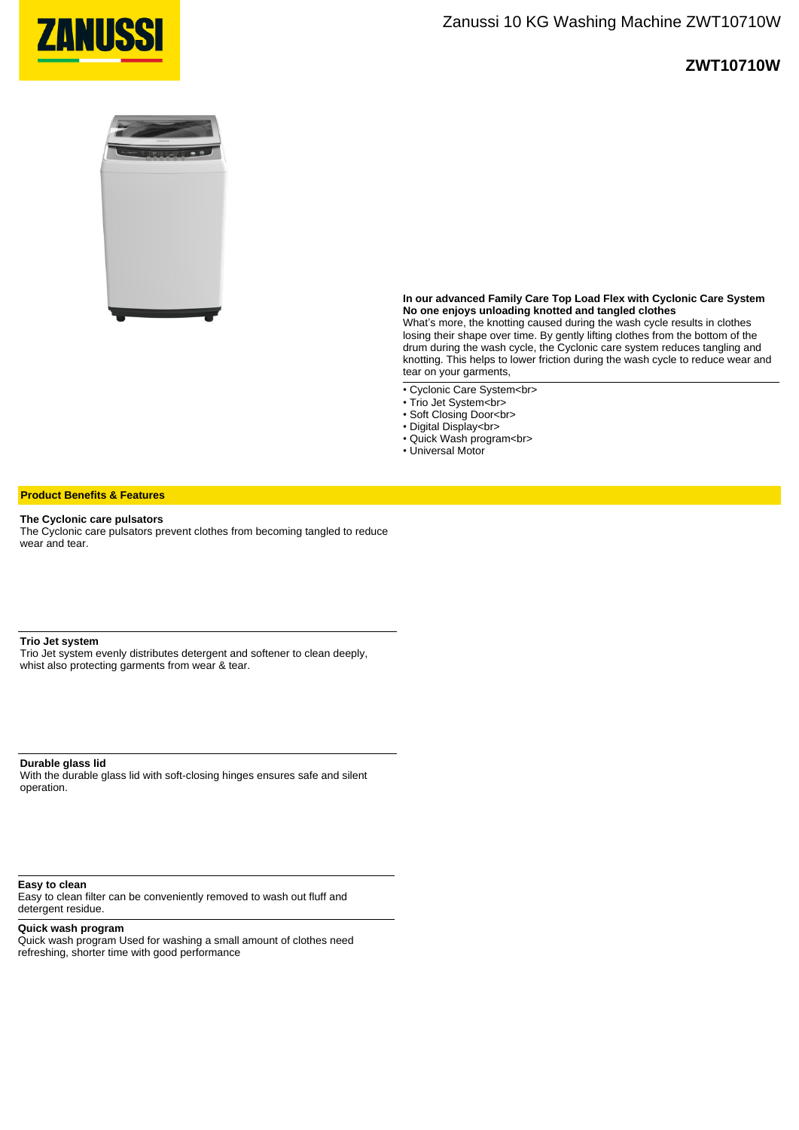

## **ZWT10710W**



**In our advanced Family Care Top Load Flex with Cyclonic Care System No one enjoys unloading knotted and tangled clothes**

What's more, the knotting caused during the wash cycle results in clothes losing their shape over time. By gently lifting clothes from the bottom of the drum during the wash cycle, the Cyclonic care system reduces tangling and knotting. This helps to lower friction during the wash cycle to reduce wear and tear on your garments,

- Cyclonic Care System<br>
- Trio Jet System<br>
- Soft Closing Door<br>
- Digital Display<br>
- Quick Wash program<br>
- Universal Motor

#### **Product Benefits & Features**

#### **The Cyclonic care pulsators**

The Cyclonic care pulsators prevent clothes from becoming tangled to reduce wear and tear.

### **Trio Jet system**

Trio Jet system evenly distributes detergent and softener to clean deeply, whist also protecting garments from wear & tear.

**Durable glass lid**  With the durable glass lid with soft-closing hinges ensures safe and silent operation.

**Easy to clean** 

Easy to clean filter can be conveniently removed to wash out fluff and detergent residue.

#### **Quick wash program**

Quick wash program Used for washing a small amount of clothes need refreshing, shorter time with good performance